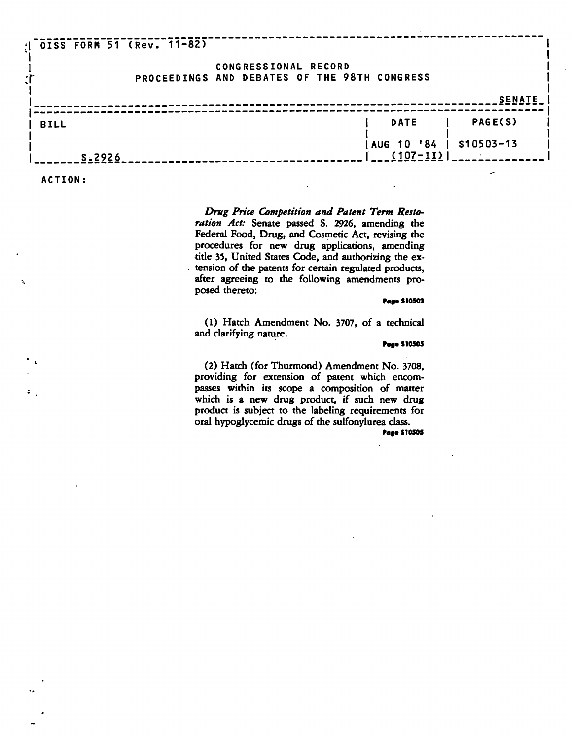|                                                    |         | $-1$ $0$ $155$ $F$ $0$ $R$ $M$ $51$ $($ $R$ $e$ $v$ $I$ $11-82)$ |                                                                      |              |                        |
|----------------------------------------------------|---------|------------------------------------------------------------------|----------------------------------------------------------------------|--------------|------------------------|
| ֧֡֓֓֓֓֓֓֓֓֓֡֓֓֓֓֓֓֓֓֓֓֓֓֓֓֓֓֓֓֓֓֓ <del>֓</del> ֓׆֧ |         |                                                                  | CONGRESSIONAL RECORD<br>PROCEEDINGS AND DEBATES OF THE 98TH CONGRESS |              |                        |
|                                                    |         |                                                                  |                                                                      |              | <b>SENATE</b>          |
| <b>BILL</b>                                        |         |                                                                  |                                                                      | <b>DATE</b>  | PAGE(S)                |
|                                                    |         |                                                                  |                                                                      |              | AUG 10 '84   S10503-13 |
|                                                    | S: 2926 |                                                                  |                                                                      | $(107 - II)$ | --                     |

**ACTION:** 

*Drug Price Competition and Patent Term Restoration Act:* **Senate passed S. 2926, amending the Federal Food, Drug, and Cosmetic Act, revising the procedures for new drug applications, amending title 35, United States Code, and authorizing the extension of the patents for certain regulated products, after agreeing to the following amendments proposed thereto:** 

# **Poga S105O3**

**(1) Hatch Amendment No. 3707, of a technical and clarifying nature.** 

# **Poga S10505**

**(2) Hatch (for Thurmond) Amendment No. 3708, providing for extension of patent which encompasses within its scope a composition of matter which is a new drug product, if such new drug product is subject to the labeling requirements for oral hypoglycemic drugs of the sulfonylurea class.** 

**Page S10505**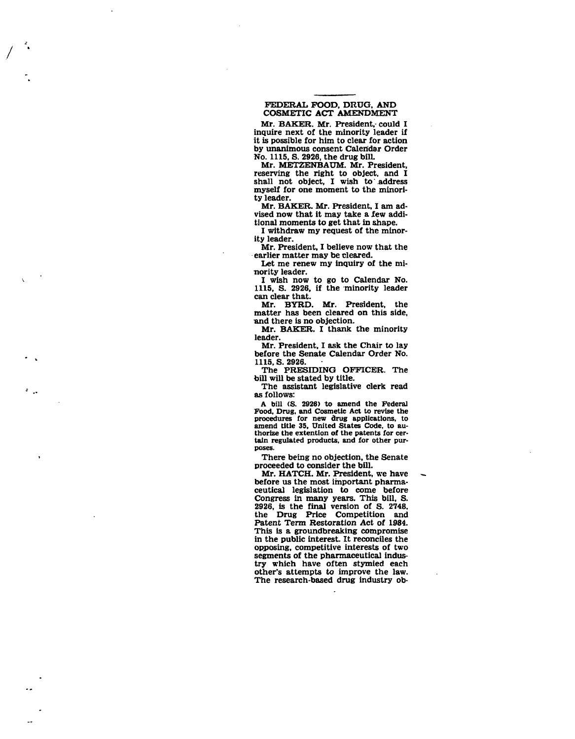# FEDERAL POOD, DRUG, AND COSMETIC **ACT** AMENDMENT

Mr. BAKER. Mr. President, could I inquire next of the minority leader if it is possible for him to clear for action by unanimous consent Calendar Order No. 1115, S. 2926, the drug bill

Mr. METZENBAUM. Mr. President, reserving the right to object, and I shall not object, I wish to address myself for one moment to the minority leader.

Mr. BAKER. Mr. President, I am advised now that it may take a few additional moments to get that in shape.

I withdraw my request of the minority leader.

Mr. President, I believe now that the earlier matter may be cleared.

Let me renew my inquiry of the minority leader.

I wish now to go to Calendar No. 1115, S. 2926, if the minority leader can clear that.

Mr. BYRD. Mr. President, the matter has been cleared on this side, and there is no objection.

Mr. BAKER. I thank the minority leader.

Mr. President, I ask the Chair to lay before the Senate Calendar Order No. 1115, S. 2926.

The PRESIDING OFFICER. The bill will be stated by title.

The assistant legislative clerk read as follows:

A bill (S. 2926) to amend the Federal Food, Drug, and Cosmetic Act to revise the procedures for new drug applications, to amend title 35, United States Code, to authorize the extention of the patents for certain regulated products, and for other purposes.

There being no objection, the Senate proceeded to consider the bill.

Mr. HATCH. Mr. President, we have before us the most important pharmaceutical legislation to come before Congress in many years. This bill, S. 2926, is the final version of S. 2748, the Drug Price Competition and Patent Term Restoration Act of 1984. This is a groundbreaking compromise in the public interest. It reconciles the opposing, competitive interests of two segments of the pharmaceutical industry which have often stymied each other's attempts to improve the law. The research-based drug industry ob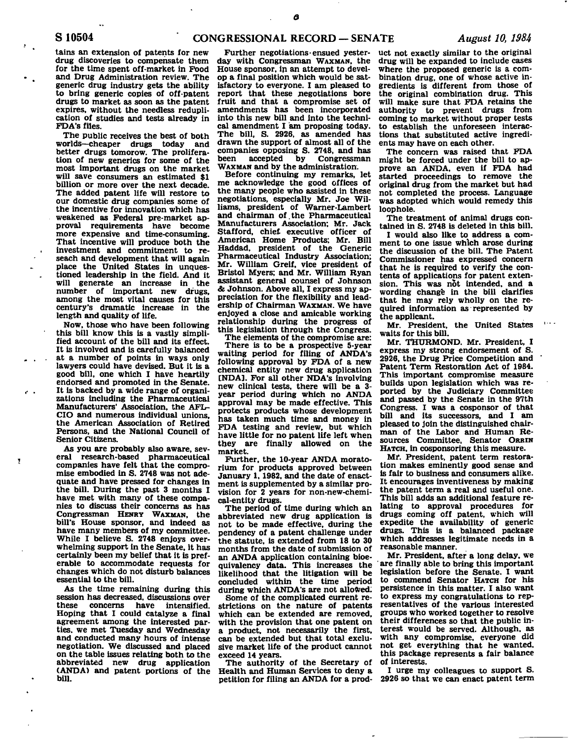$\mathcal{F}_{\mathcal{A}}$  .

Ţ

**a** 

**tains an extension of patents for new drug discoveries to compensate them for the time spent off-market in Pood and Drug Administration review. The generic drug industry gets the ability to bring generic copies of off-patent drugs to market as soon as the patent expires, without the needless reduplication of studies and tests already in FDA's files.** 

**The public receives the best of both worlds—cheaper drugs today and better drugs tomorow. The proliferation of new generics for some of the most important drugs on the market will save consumers an estimated \$1 billion or more over the next decade. The added patent life will restore to our domestic drug companies some of the incentive for innovation which has weakened as Federal pre-market approval requirements have become more expensive and time-consuming. That incentive will produce both the investment and commitment to reseach and development that will again place the United States in unquestioned leadership in the field. And it will generate an increase in the number of important new drugs, among the most vital causes for this century's dramatic increase in the length and quality of life.** 

**Now, those who have been following this bill know this is a vastly simplified account of the bill and its effect. It is involved and is carefully balanced at a number of points in ways only lawyers could have devised. But it is a good bill, one which I have heartily endorsed and promoted in the Senate. It is backed by a wide range of organizations including the Pharmaceutical Manufacturers' Association, the AFL-CIO and numerous individual unions, the American Association of Retired Persons, and the National Council of Senior Citizens.** 

**As you are probably also aware, several research-based pharmaceutical companies have felt that the compromise embodied in S. 2748 was not adequate and have pressed for changes in the bill. During the past 3 months I have met with many of these companies to discuss their concerns as has Congressman HENRY WAXMAN, the bill's House sponsor, and indeed as have many members of my committee. While I believe S. 2748 enjoys overwhelming support in the Senate, it has certainly been my belief that it is preferable to accommodate requests for changes which do not disturb balances essential to the bill.** 

**As the time remaining during this session has decreased, discussions over**  concerns **Hoping that I could catalyze a final agreement among the interested parties, we met Tuesday and Wednesday and conducted many hours of intense negotiation. We discussed and placed on the table issues relating both to the abbreviated new drug application (ANDA) and patent portions of the bill.** 

**Further negotiations ensued yesterday with Congressman WAXMAN, the House sponsor, in an attempt to develop a final position which would be satisfactory to everyone. I am pleased to report that these negotiations bore fruit and that a compromise set of amendments has been incorporated into this new bill and Into the technical amendment I am proposing today. The bill, S. 2926, as amended has drawn the support of almost all of the companies opposing S. 2748, and has been accepted WAXMAN and by the administration.** 

**Before continuing my remarks, let me acknowledge the good offices of the many people who assisted in these negotiations, especially Mr. Joe Williams, president of Warner-Lambert and chairman of.the Pharmaceutical Manufacturers Association; Mr. Jack Stafford, chief executive officer of American Home Products; Mr. Bill Haddad, president of the Generic Pharmaceutical Industry Association; Mr. William Greif, vice president of Bristol Myers; and Mr. William Ryan assistant general counsel of Johnson & Johnson. Above all, I express my appreciation for the flexibility and leadership of Chairman WAXMAN. We have enjoyed a close and amicable working relationship during the progress of this legislation through the Congress.** 

**The elements of the compromise are: There is to be a prospective 5-year waiting period for filing of ANDA's following approval by FDA of a new chemical entity new drug application [NDAL For all other NDA's involving new clinical tests, there will be a 3 year period during which no ANDA approval may be made effective. This protects products whose development has taken much time and money in FDA testing and review, but which have little for no patent life left when they are finally allowed on the market.** 

**Further, the 10-year ANDA moratorium for products approved between January 1,1982, and the date of enactment is supplemented by a similar provision for 2 years for non-new-chemical-entity drugs.** 

**The period of time during which an abbreviated new drug application is not to be made effective, during the pendency of a patent challenge under the statute, is extended from 18 to 30 months from the date of submission of an ANDA application containing bioequivalency data. This increases the likelihood that the litigation will be concluded within the time period during which ANDA's are not allowed:** 

**Some of the complicated current restrictions on the nature of patents which can be extended are removed, with the provision that one patent on a product, not necessarily the first, can be extended but that total exclusive market life of the product cannot exceed 14 years.** 

**The authority of the Secretary of Health and Human Services to deny a petition for filing an ANDA for a prod-**

**uct not exactly similar to the original drug will be expanded to include cases where the proposed generic is a combination drug, one of whose active ingredients is different from those of the original combination drug. This will make sure that FDA retains the authority to prevent drugs from coming to market without proper tests to establish the unforeseen interactions that substituted active ingredients may have on each other.** 

**The concern was raised that FDA might be forced under the bill to approve an ANDA, even if FDA had started proceedings to remove the original drug from the market but had not completed the process. Language was adopted which would remedy this loophole.** 

**The treatment of animal drugs contained in S. 2748 is deleted in this bill.** 

**I would also like to address a comment to one issue which arose during the discussion of the bill. The Patent Commissioner has expressed concern that he is required to verify the contents of applications for patent extension. This was not intended, and a wording change in the bill clarifies that he may rely wholly on the required information as represented by the applicant.** 

**Mr. President, the United States waits for this bill.** 

**Mr. THURMOND. Mr. President, I express my strong endorsement of S. 2926, the Drug Price Competition and Patent Term Restoration Act of 1984. This important compromise measure builds upon legislation which was reported by the Judiciary Committee and passed by the Senate in the 97th Congress. I was a cosponsor of that bill and its successors, and I am pleased to join the distinguished chairman of the Labor and Human Resources Committee, Senator ORRIN HATCH, in cosponsoring this measure.** 

**Mr. President, patent term restoration makes eminently good sense and is fair to business and consumers alike. It encourages inventiveness by making the patent term a real and useful one. This bill adds an additional feature relating to approval procedures for drugs coming off patent, which will expedite the availability of generic drugs. This is a balanced package which addresses legitimate needs in a reasonable manner.** 

**Mr. President, after a long delay, we ' are finally able to bring this important legislation before the Senate. I want to commend Senator HATCH for his persistence in this matter. I also want to express my congratulations to representatives of the various interested groups who worked together to resolve their differences so that the public interest would be served. Although, as with any compromise, everyone did not get everything that he wanted, this package represents a fair balance of interests.** 

**I urge my colleagues to support S. 2926 so that we can enact patent term**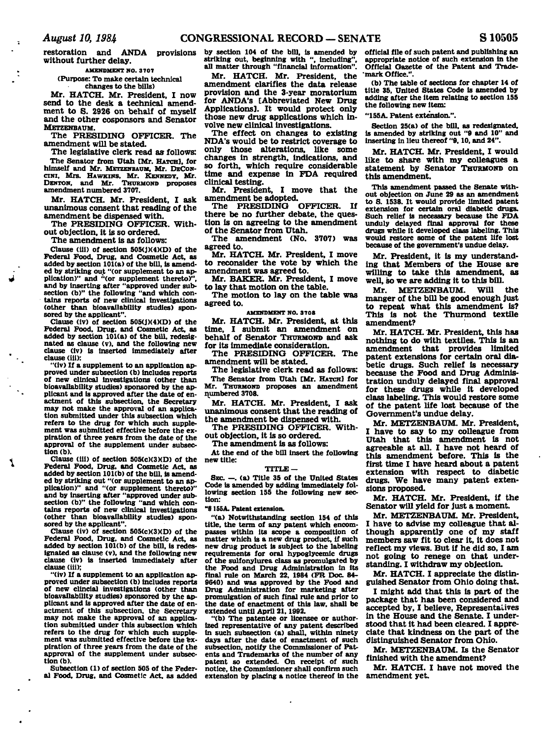$\overline{\mathbf{z}}$ 

ı

**without further delay.** 

**AMENDMENT NO. 3T0T** 

**(Purpose: To make certain technical changes to the bills)** 

**Mr. HATCH. Mr. President, I now send to the desk a technical amendment to S. 2926 on behalf of myself and the other cosponsors and Senator METZENBAUM.** 

**The PRESIDING OFFICER. The amendment will be stated.** 

**The legislative clerk read as follows: The Senator from Utah [Mr. HATCH], for himself and Mr. METZENBAUM, Mr. DECON-CINI, Mrs. HAWKINS. Mr. KENNEDY, Mr. DENTON, and Mr. THURMOND proposes amendment numbered 3707.** 

**Mr. HATCH. Mr. President, I ask unanimous consent that reading of the amendment be dispensed with.** 

**The PRESIDING OFFICER. Without objection, it is so ordered.** 

**The amendment is as follows:** 

**Clause (iii) of section 505(j)(4)(D) of the Federal Food, Drug, and Cosmetic Act, as added by section 101(a) of the bill, is amended by striking out "(or supplement to an application)" and "(or supplement thereto)", and by inserting after "approved under subsection (b)" the following "and which contains reports of new clinical investigations (other than bioavailability studies) sponsored by the applicant".** 

**Clause (iv) of section 505(j)(4KD) of the Federal Food, Drug, and Cosmetic Act, as added by section 101(a) of the bill, redesignated as clause (v), and the following new clause (iv) is inserted immediately after clause (iii):** 

**"(iv) If a supplement to an application approved under subsection (b) includes reports of new clinical investigations (other than bioavailability studies) sponsored by the applicant and is approved after the date of enactment of this subsection, the Secretary may not make the approval of an application submitted under this subsection which refers to the drug for which such supplement was submitted effective before the expiration of three years from the date of the approval of the supplement under subsection (b).** 

**Clause (iii) of section 505(c)(3)(D) of the Federal Food, Drug, and Cosmetic Act, as added by section 101(b) of the bill, is amended by striking out "(or supplement to an ap-plication)" and "(or supplement thereto)" and by inserting after "approved under subsection (b)" the following "and which contains reports of new clinical investigations (other than bioavailability studies) sponsored by the applicant".** 

**Clause (iv) of section 505(c)(3)(D) of the Federal Food, Drug, and Cosmetic Act, as added by section 101(b) of the bill, is redesignated as clause (v), and the following new clause (iv) is inserted immediately after clause (iii);** 

**"(iv) If a supplement to an application approved under subsection (b) includes reports of new clincial investigations (other than bioavailability studies) sponsored by the applicant and is approved after the date of enactment of this subsection, the Secretary may not make the approval of an application submitted under this subsection which refers to the drug for which such supple-ment was submitted effective before the expiration of three years from the date of the approval of the supplement under subsection (b).** 

**Subsection (1) of section 505 of the Federal Food, Drug, and Cosmetic Act, as added** 

**restoration and ANDA provisions by section 104 of the bill, is amended by striking out, beginning with ", including", all matter through "financial information".** 

**Mr. HATCH. Mr. President, the amendment clarifies the data release provision and the 3-year moratorium for ANDA's [Abbreviated New Drug Applications]. It would protect only those new drug applications which involve new clinical investigations.** 

**The effect on changes to existing NDA's would be to restrict coverage to only those alterations, like some changes in strength, indications, and so forth, which require considerable time and expense in FDA required clinical testing.** 

**Mr. President, I move that the amendment be adopted.** 

**The PRESIDING there be no further debate, the question is on agreeing to the amendment of the Senator from Utah.** 

**The amendment (No. 3707) was agreed to.** 

**Mr. HATCH. Mr. President, I move to reconsider the vote by which the amendment was agreed to.** 

**Mr. BAKER. Mr. President, I move to lay that motion on the table.** 

**The motion to lay on the table was agreed to.** 

**AMENDMENT NO. 3708** 

**Mr. HATCH. Mr. President, at this time, I submit an amendment on behalf of Senator THURMOND and ask for its immediate consideration.** 

**The PRESIDING OFFICER. The amendment will be stated.** 

**The legislative clerk read as follows:** 

**The Senator from Utah [Mr. HATCH] for Mr. THURMOND proposes an amendment numbered 3708.** 

**^Mr. HATCH. Mr. President, I ask unanimous consent that the reading of the amendment be dispensed with.** 

**The PRESIDING OFFICER. With-**

**out objection, it is so ordered. The amendment is as follows:** 

**At the end of the bill insert the following new title:** 

### **TITLE —**

**SEC. —. (a) Title 35 of the United States Code is amended by adding Immediately following section 155 the following new section:** 

**"8 155A. Patent extension.** 

**"(a) Notwithstanding section 154 of this title, the term of any patent which encompasses within its scope a composition of matter which is a new drug product, if such new drug product is subject to the labeling requirements for oral hypoglycemic drugs of the sulfonylurea class as promulgated by the Food and Drug Administration in its final rule on March 22, 1984 (FR Doc. 84- 9640) and was approved by the Food and Drug Administration for marketing after promulgation of such final rule and prior to the date of enactment of this law, shall be extended until April 21.1992.** 

**"(b) The patentee or licensee or authorized representative of any patent described in such subsection (a) shall, within ninety days after the date of enactment of such subsection, notify the Commissioner of Patents and Trademarks of the number of any patent so extended. On receipt of such notice, the Commissioner shall confirm such extension by placing a notice thereof in the** 

**official file of such patent and publishing an appropriate notice of such extension in the Official Gazette of the Patent and Trademark Office.".** 

**(b) The table of sections for chapter 14 of title 35, United States Code is amended by adding after the item relating to section 155 the following new item:** 

**"155A. Patent extension.".** 

**Section 25(a) of the bill, as redesignated, is amended by striking out "9 and 10" and inserting in lieu thereof "9,10, and 24".** 

**Mr. HATCH. Mr. President, I would like to share with my colleagues a**  statement by Senator THURMOND on **this amendment.** 

**This amendment passed the Senate without objection on June 29 as an amendment to S. 1538. It would provide limited patent extension for certain oral diabetic drugs. Such relief is necessary because the FDA unduly delayed final approval for these drugs while it developed class labeling. This would restore some of the patent life lost because of the government's undue delay.** 

**Mr. President, it is my understanding that Members of the House are willing to take this amendment, as well, so we are adding it to this bill.** 

**Mr. METZENBAUM. Will the manger of the bill be good enough just to repeat what this amendment is? This is not the Thurmond textile amendment?** 

**Mr. HATCH. Mr. President, this has nothing to do with textiles. This is an amendment that provides limited patent extensions for certain oral diabetic drugs. Such relief is necessary because the Food and Drug Administration unduly delayed final approval for these drugs while it developed class labeling. This would restore some of the patent life lost because of the Government's undue delay.** 

**Mr. METZENBAUM. Mr. President, I have to say to my colleague from Utah that this amendment is not agreeable at all. I have not heard of this amendment before. This is the first time I have heard about a patent extension with respect to diabetic drugs. We have many patent extensions proposed.** 

**Mr. HATCH. Mr. President, if the Senator will yield for just a moment.** 

**Mr. METZENBAUM. Mr. President, I have to advise my colleague that although apparently one of my staff members saw fit to clear it, it does not reflect my views. But if he did so, I am not going to renege on that understanding. I withdraw my objection.** 

**Mr. HATCH. I appreciate the distinguished Senator from Ohio doing that.** 

**I might add that this is part of the package that has been considered and accepted by, I believe, Representatives in the House and the Senate. I understood that it had been cleared. I appreciate that kindness on the part of the distinguished Senator from Ohio.** 

**Mr. METZENBAUM. Is the Senator finished with the amendment?** 

**Mr. HATCH. I have not moved the amendment yet.**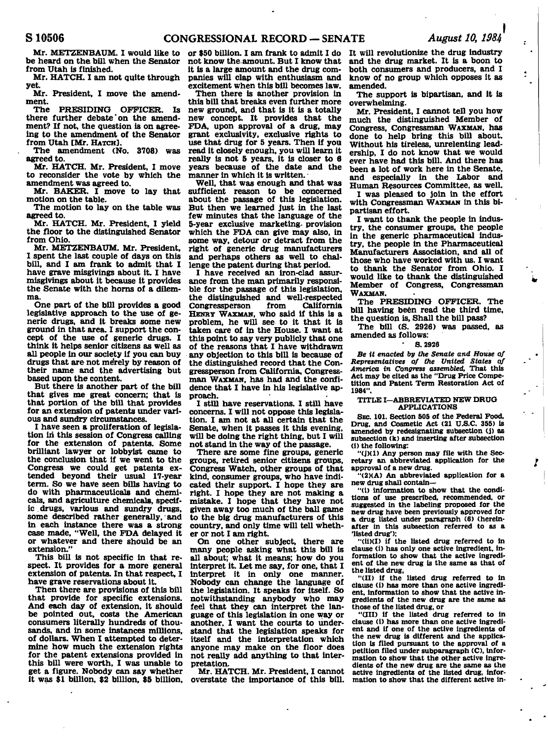**Mr. METZENBAUM. I would like to be heard on the bill when the Senator from Utah is finished.** 

**Mr. HATCH. I am not quite through yet.** 

**Mr. President, I move the amendment.** 

**The PRESIDING OFFICER. Is there further debate'on the amendment? If not, the question is on agreeing to the amendment of the Senator from Utah [Mr. HATCH].** 

**The amendment (No. 3708) was agreed to.** 

**Mr. HATCH. Mr. President, I move to reconsider the vote by which the amendment was agreed to.** 

**Mr. BAKER. I move to lay that motion on the table.** 

**The motion to lay on the table was agreed** to.

**Mr. HATCH. Mr. President, I yield the floor to the distinguished Senator from Ohio.** 

**Mr. METZENBAUM. Mr. President, I spent the last couple of days on this bill, and I am frank to admit that I have grave misgivings about it. I have misgivings about it because it provides the Senate with the horns of a dilemma.** 

**One part of the bill provides a good legislative approach to the use of generic drugs, and it breaks some new ground in that area. I support the concept of the use of generic drugs. I think it helps senior citizens as well as all people in our society if you can buy drugs that are not merely by reason of their name and the advertising but based upon the content.** 

**But there is another part of the bill that gives me great concern; that is that portion of the bill that provides for an extension of patents under various and sundry circumstances.** 

**I have seen a proliferation of legislation in this session of Congress calling for the extension of patents. Some brilliant lawyer or lobbyist came to the conclusion that if we went to the Congress we could get patents extended beyond their usual 17-year term. So we have seen bills having to do with pharmaceuticals and chemicals, and agriculture chemicals, specific drugs, various and sundry drugs, some described rather generally, and in each instance there was a strong case made, "Well, the FDA delayed it or whatever and there should be an extension."** 

**This bill is not specific in that respect. It provides for a more general extension of patents. In that respect, I have grave reservations about it.** 

**Then there are provisions of this bill that provide for specific extensions. And each day of extension, it should be pointed out, costs the American consumers literally hundreds of thousands, and in some instances millions, of dollars. When I attempted to determine how much the extension rights for the patent extensions provided in this bill were worth, I was unable to get a figure. Nobody can say whether it was \$1 billion, \$2 billion, \$5 billion,** 

**or \$50 billion. I am frank to admit I do not know the. amount. But I know that it is a large amount and the drug companies will clap with enthusiasm and excitement when this bill becomes law.** 

**Then there is another provision in this bill that breaks even further more new ground, and that is it is a totally new concept. It provides that the FDA, upon approval of a drug, may grant exclusivity, exclusive rights to use that drug for 5 years. Then if you read it closely enough, you will learn it really is not 5 years, it is closer to 6 years because of the date and the manner in which it is written.** 

**Well, that was enough and that was sufficient reason to be concerned about the passage of this legislation. But then we learned just in the last few minutes that the language of the 5-year exclusive marketing- provision which the FDA can give may also, in some way, detour or detract from the right of generic drug manufacturers and perhaps others as well to challenge the patent during that period.** 

**I have received an iron-clad assurance from the man primarily responsible for the passage of this legislation, the distinguished and well-respected Congressperson from California HENRY WAXMAN, who said if this is a problem, he will see to it that it is taken care of in the House. I want at this point to say very publicly that one of the reasons that I have withdrawn any objection to this bill is because of the distinguished record that the Congressperson from California, Congressman WAXMAN, has had and the confidence that I have in his legislative approach.** 

**I still have reservations. I still have concerns. I will not oppose this legislation. I am not at all certain that the Senate, when it passes it this evening, will be doing the right thing, but I will not stand in the way of the passage.** 

**There are some fine groups, generic groups, retired senior citizens groups, Congress Watch, other groups of that kind, consumer groups, who have indicated their support. I hope they are right. I hope they are not making a mistake. I hope that they have not given away too much of the ball game to the big drug manufacturers of this country, and only time will tell whether or not I am right.** 

**On one other subject, there are many people asking what this bill is all about; what it means; how do you interpret it. Let me say, for one, that I interpret it in only one manner. Nobody can change the language of the legislation. It speaks for itself. So notwithstanding anybody who may feel that they can interpret the language of this legislation in one way or another, I want the courts to understand that the legislation speaks for itself and the interpretation which anyone may make on the floor does not really add anything to that interpretation.** 

**Mr. HATCH. Mr. President, I cannot overstate the importance of this bill.** 

**It will revolutionize the drug industry and the drug market. It is a boon to both consumers and producers, and I know of no group which opposes it as amended.** 

**The support is bipartisan, and it is overwhelming.** 

**Mr. President, I cannot tell you how much the distinguished Member of Congress, Congressman WAXMAN, has done to help bring this bill about. Without his tireless, unrelenting leadership, I do not know that we would ever have had this bill. And there has been a lot of work here in the Senate, and especially in the Labor and Human Resources Committee, as well.** 

**I was pleased to join in the effort with Congressman WAXMAN in this bipartisan effort.** 

**I want to thank the people in industry, the consumer groups, the people in the generic pharmaceutical industry, the people in the Pharmaceutical Manufacturers Association, and all of those who have worked with us. I want to thank the Senator from Ohio. I would like to thank the distinguished Member of Congress, Congressman WAXMAN.** 

**The PRESIDING OFFICER. The bill having been read the third time, the question is, Shall the bill pass?** 

**The bill (S. 2926) was passed, as amended as follows:** 

### **- S. 2926**

*Be it enacted by the Senate and House of Representatives of the United States of America in Congress assembled,* **That this Act may be cited as the "Drue Price Competition and Patent Term Restoration Act of 1984".** 

#### **TITLE I—ABBREVIATED NEW DRUG APPLICATIONS**

**SEC. 101. Section S05 of the Federal Food, Drug, and Cosmetic Act (21 U.S.C. 355) is amended by redesignating subsection (j) as subsection (k) and inserting after subsection (i) the following:** 

"(j)(1) Any person may file with the Sec**retary an abbreviated application for the approval of a new drug.** 

**"(2)(A) An abbreviated application for a new drug shall contain—** 

**"(i) information to show that the conditions of use prescribed, recommended, or suggested in the labeling proposed for the new drug have been previously approved for a drug listed under paragraph (6) (hereinafter in this subsection referred to as a 'listed drug');** 

**"(ii)(I) if the listed drug referred to in clause (i) has only one active ingredient, in-formation to show that the active ingredient of the new drug is the same as that of the listed drug,** 

**"(II) if the listed drug referred to in clause (i) has more than one active ingredient, information to show that the active ingredients of the new drug are the same as those of the listed drug, or** 

**"(III) if the listed drug referred to in clause (i) has more than one active ingredient and if one of the active ingredients of the new drug is different and the application is filed pursuant to the approval of a petition filed under subparagraph (C), information to show that the other active ingredients of the new drug are the same as the active ingredients of the listed drug, information to show that the different active in-**  $\mathbf{r}$ 

Ì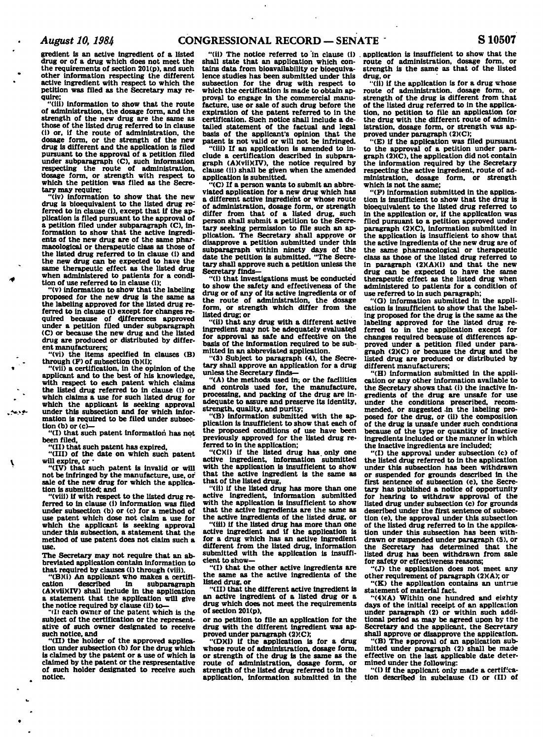*August 10, 1984* 

**gradient is an active ingredient of a listed drug or of a drug which does not meet the the requirements of section 201(p), and such other information respecting the different active ingredient with respect to which the petition was filed as the Secretary may require;** 

**"(iii) information to show that the route of administration, the dosage form, and the strength of the new drug are the same as those of the listed drug referred to in clause (i) or, if the route of administration, the dosage form, or the strength of the new drug is different and the application is filed pursuant to the approval of a petition filed under subparagraph (C), such information respecting the route of administration, dosage form, or strength with respect to which the petition was filed as the Secretary may require;** 

**"(iv) information to show that the new**  drug is bioequivalent to the listed drug re**ferred to in clause (i), except that if the application is filed pursuant to the approval of a petition filed under subparagraph (C), information to show that the active ingredients of the new drug are of the same pharmacological or therapeutic class as those of the listed drug referred to in clause (i) and the new drug can be expected to have the same therapeutic effect as the listed drug when administered to patients for a condition of use referred to in clause (i);** 

**"(v) information to show that the labeling proposed for the new drug is the same as the labeling approved for the listed drug referred to in clause (i) except for changes required because of differences approved under a petition filed under subparagraph (C) or because the new drug and the listed drug are produced or distributed by different manufacturers;** 

**"(vi) the items specified in clauses (B)** 

**through (F) of subsection (b)(i); "(vii) a certification, in the opinion of the applicant and to the best of his knowledge, with respect to each patent which claims the listed drug referred to in clause (i) or which claims a use for such listed drug for which the applicant is seeking approval under this subsection and for which information is required to be filed under subsection (b) or (c)—** 

**"(I) that such patent information has not been filed,** 

**"(II) that such patent has expired,** 

وجهيه

**"(III) of the date on which such patent will expire, or '** 

**"(IV) that such patent is invalid or will not be infringed by the manufacture, use, or sale of the new drug for which the application is submitted; and** 

**"(viii) if with respect to the listed drug referred to in clause (i) Information was filed under subsection (b) or (c) for a method of use patent which dose not claim a use for which the applicant is seeking approval under this subsection, a statement that the method of use patent does not claim such a use.** 

**The Secretary may not require that an abbreviated application contain information to that required by clauses (i) through (viii).** 

**"(B)(i) An applicant who makes a certification described in subparagraph (AMviixrV) shall include in the application a statement that the application will give the notice required by clause (ii) to— "til each owner of the patent which is the** 

**subject of the certification or the representative of such owner designated to receive such notice, and** 

**"(II) the holder of the approved application under subsection (b) for the drug which is claimed by the patent or a use of which is claimed by the patent or the respresentative of such holder designated to receive such notice.** 

**shall state that an application which contains data from bioavailability or bioequivalence studies has been submitted under this subsection for the drug with respect to which the certification is made to obtain approval to engage in the commercial manufacture, use or sale of such drug before the expiration of the patent referred to in the certification. Such notice shall include a detailed statement of the factual and legal basis of the applicant's opinion that the patent is not valid or will not be infringed.** 

**"(iii) If an application is amended to include a certification described in subpara**graph (A)(vii)(IV), the notice required by **clause (ii) shall be given when the amended application is submitted.** 

**"(C) If a person wants to submit an abbreviated application for a new drug which has a different active ingredient or whose route of administration, dosage form, or strength differ from that of a listed drug, such person shall submit a petition to the Secretary seeking permission to file such an application. The Secretary shall approve or disapprove a petition submitted under this subparagraph within ninety days of the date the petition is submitted. "The Secretary shall approve such a petition unless the**  Secretary finds

**"(i) that investigations must be conducted to show the safety and effectiveness of the drug or of any of its active ingredients or of the route of administration, the dosage form, or strength which differ from the listed drug; or** 

**"(ii) that any drug with a different active ingredient may not be adequately evaluated for approval as safe and effective on the basis of the information required to be submitted in an abbreviated application.** 

**"(3) Subject to paragraph (4), the Secretary shall approve an application for a drug unless the Secretary finds—** 

**"(A) the methods used in, or the facilities and controls used for, the manufacture, processing, and packing of the drug are inadequate to assure and preserve its identity, strength, quality, and purity;** 

**"(B) information submitted with the application is insufficient to show that each of the proposed conditions of use have been previously approved for the listed drug referred to in the application;** 

**"(C)(i) if the listed drug has. only one active ingredient, information submitted with the application is insufficient to show that the active ingredient is the same as that of the listed drug,** 

**"(ii) if the listed drug has more than one active ingredient, information submitted with the application is insufficient to show that the active ingredients are the same as the active ingredients of the listed drug, or** 

**"(iii) if the listed drug has more than one active ingredient and if the application is for a drug which has an active ingredient different from the listed drug, information submitted with the application is insufficient to show—** 

**"(I) that the other active ingredients are the same as the active ingredients of the listed drug, or** 

**"(II) that the different active ingredient is an active ingredient of a listed drug or a drug which does not meet the requirements of section 201(p),** 

**or no petition to file an application for the drug with the different ingredient was ap**proved under paragraph (2)(C);

**"(DMi) if the application is for a drug whose route of administration, dosage form, or strength of the drug is the same as the route of administration, dosage form, or strength of the listed drug referred to in the application, information submitted In the** 

**"(ii) The notice referred to in clause (i) application is insufficient to show that the route of administration, dosage form, or strength is the same as that of the listed drug, or** 

> **"(ii) if the application is for a drug whose route of administration, dosage form, or strength of the drug is different from that of the listed drug referred to in the application, no petition to file an application for the drug with the different route of administration, dosage form, or strength was approved under paragraph (2)(C);**

> **"(E) if the application was filed pursuant to the approval of a petition under paragraph (2)(C), the application did not contain the information required by the Secretary respecting the active ingredient, route of administration, dosage form, or strength which is not the same;**

> **"(F) information submitted in the application is insufficient to show that the drug is bioequivalent to the listed drug referred to in the application or, if the application was filed pursuant to a petition approved under paragraph (2)(C), information submitted in the application is insufficient to show that the active ingredients of the new drug are of the same pharmacological or therapeutic class as those of the listed drug referred to in paragraph (2)(A)(i) and that the new drug can be expected to have the same therapeutic effect as the listed drug when administered to patients for a condition of use referred to in such paragraph;**

> **"(G) information submitted in the application is insufficient to show that the labeling proposed for the drug is the same as the labeling approved for the listed drug referred to in the application except for changes required because of differences approved under a petition filed under paragraph (2XC) or because the drug and the listed drug are produced or distributed by different manufacturers;**

> **"(H) information submitted in the application or any other information available to the Secretary shows that (i) the inactive ingredients of the drug are unsafe for use under the conditions prescribed, recommended, or suggested -in the labeling proposed for the drug, or (ii) the composition of the drug is unsafe under such conditions because of the type or quantity of inactive ingredients included or the manner in which the inactive ingredients are included;**

> **"(I) the approval under subsection (c) of the listed drug referred to in the application under this subsection has been withdrawn or suspended for grounds described in the first sentence of subsection (e), the Secretary has published a notice of opportunity for hearing to withdraw approval of the listed drug under subsection (c) for grounds deseribed under the first sentence of subsection (e), the approval under this subsection of the listed drug referred to in the application under this subsection has been withdrawn or suspended under paragraph (S), or the Secretary has determined that the listed drug has been withdrawn from sale for safety or effectiveness reasons;**

> **"(J) the application does not meet any other requirement of paragraph (2)(A); or**

> **"(K) the application contains an untrue statement of material fact.**

> **"(4XA) Within one hundred and eiehty days of the initial receipt of an application under paragraph (2) or within such addi-tional period as may be agreed upon by the Secretary and the applicant, the Secretary shall approve or disapprove the application.**

> **"(B) The approval of an application submitted under paragraph (2) shall be made effective on the last applicable date determined under the following:**

> **"(i) if the applicant only made a certification described in subclause (I) or (II) of**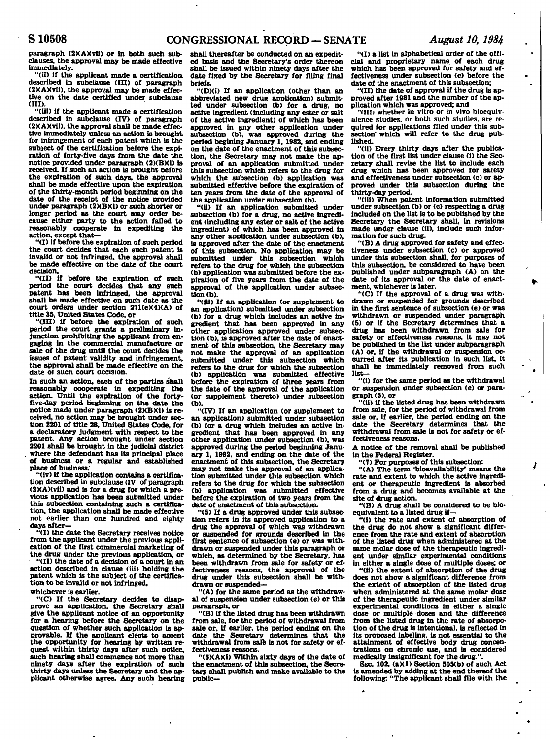**paragraph (2)(AKvii) or in both such subclauses, the approval may be made effective immediately.** 

**"(ii) if the applicant made a certification described in subclause (III) of paragraph (2)(A)(vii), the approval may be made effective on the date certified under subclause (III).** 

**"(iii) if the applicant made a certification described in subclause (IV) of paragraph (2)(A)(vii), the approval shall be made effective immediately unless an action is brought for infringement of each patent which is the subject of the certification before the expiration of forty-five days from the date the notice provided under paragraph (2)(B)(i) is received. If such an action is brought before the expiration of such days, the approval shall be made effective upon the expiration of the thirty-month period beginning on the date of the receipt of the notice provided under paragraph (2)(B)(i) or such shorter or longer period as the court may order because either party to the action failed to reasonably cooperate in expediting the action, except that-**

**'ll) if before the expiration of such period the court decides that each such patent is invalid or not infringed, the approval shall be made effective on the date of the court decision,** 

**"(II) if before the expiration of such period the court decides that any such patent has been infringed, the approval shall be made effective on such date as the court orders under section 271(e)(4)(A) of title 35, United States Code, or** 

**"(III) if before the expiration of such period the court grants a preliminary injunction prohibiting the applicant from engaging in the commercial manufacture or sale of the drug until the court decides the issues of patent validity and infringement, the approval shall be made effective on the date of such court decision.** 

**In such an action, each of the parties shall reasonably cooperate in expediting the action. Until the expiration of the forty\* five-day period beginning on the date the notice made under paragraph (2KB)(i) is received, no action may be brought under section 2201 of title 28, United States Code, for a declaratory judgment with respect to the patent. Any action brought under section 2201 shall be brought in the judicial district . where the defendant has its principal place of business or a regular and established place of business:** 

**"(iv) if the application contains a certification described in subclause (IV) of paragraph (2KA)(vii) and is for a drug for which a previous application has been submitted under this subsection containing such a certification, the application shall be made effective not earlier than one hundred and eighty days after—** 

**"(I) the date the Secretary receives notice from the applicant under the previous application of the first commercial marketing of the drug under the previous application, or** 

**"(II) the date of a decision of a court in an action described in clause (iii) holding the patent which is the subject of the certification to be Invalid or not infringed,** 

**whichever is earlier. "(C) If the Secretary decides to disapprove an application, the Secretary shall give the applicant notice of an opportunity for a hearing before the Secretary on the question of whether such application is approvable. If the applicant elects to accept the opportunity for hearing by written request within thirty days after such notice, such hearing shall commence not more than ninety days after the expiration of such thirty days unless the Secretary and the applicant otherwise agree. Any such hearing** 

**shall thereafter be conducted on an expedited basis and the Secretary's order thereon shall be issued within ninety days after the date fixed by the Secretary for filing final briefs.** 

**"(D)(1) If an application (other than an abbreviated new drug application) submitted under subsection (b) for a drug, no active ingredient (including any ester or salt of the active ingredient) of which has been approved in any other application under subsection (b), was approved during the period begining January 1, 1982, and ending on the date of the enactment of this subsection, the Secretary may not make the approval of an application submitted under this subsection which refers to the drug for which the subsection (b) application was submitted effective before the expiration of ten years from the date of the approval of the application under subsection (b).** 

**"(ii) If an application submitted under subsection (b) for a drug, no active ingredient (including any ester or salt of the active ingredient) of which has been approved in any other application under subsection (b), is approved after the date of the enactment of this subsection. No application may be submitted under this subsection which refers to the drug for which the subsection (b) application was submitted before the expiration of five years from the date of the approval of the application under subsection (b).** 

**"(iii) If an application (or supplement to an application) submitted under subsection (b) for a drug which includes an active in-gredient that has been approved in any other application approved under subsection (b), is approved after the date of enactment of this subsection, the Secretary may not make the apprqval of an application submitted under this subsection which refers to the drug for which the subsection (b) application was submitted effective before the expiration of three years from the date of the approval of the application (or supplement thereto) under subsection (b).** 

**"(IV) If an application (or supplement to an application) submitted under subsection (b) for a drug which includes an active ingredient that has been approved in any other application under subsection (b), was approved during the period beginning January 1, 1982, and ending on the date of the enactment of this subsection, the Secretary may not make the approval of an application submitted under this subsection which refers to the drug for which the subsection (b) application was submitted effective before the expiration of two years from the date of enactment of this subsection.** 

**"(5) If a drug approved under this subsection refers in its approved application to a drug the approval of which was withdrawn or suspended for grounds described in the first sentence of subsection (e) or was withdrawn or suspended under this paragraph or which, as determined by the Secretary, has been withdrawn from sale for safety or effectiveness reasons, the approval of the drug under this subsection shall be withdrawn or suspended—** 

**"(A) for the same period as the withdrawal of suspension under subsection (e) or this paragraph, or** 

**"(B) if the listed drug has been withdrawn from sale, for the period of withdrawal from sale or, if earlier, the period ending on the date the Secretary determines that the withdrawal from sale is not for safety or effectiveness reasons.** 

**"(6KAK1) Within sixty days of the date of the enactment of this subsection, the Secretary shall publish and make available to the public—** 

**"(I) a list in alphabetical order of the official and proprietary name of each drug which has been approved for safety and effectiveness under subsection (c) before the date of the enactment of this subsection;** 

**"(II) the date of approval if the drug is approved after 1981 and the number of the application which was approved; and** 

**"HIIi whether in vitro or in vivo bioequivalence studies, or both such studies, are required for applications filed under this subsection' which will refer to the drug published.** 

**"(ii) Every thirty days after the publication of the first list under clause (i) the Secretary shall revise the list to include each drug which has been approved for safety and effectiveness under subsection (c) or approved under this subsection during the thirty-day period.** 

**"(iii) When patent information submitted under subsection (b) or (c) respecting a drug included on the list is to be published by the Secretary the Secretary shall, in revisions made under clause (ii), include such information for such drug.** 

**"(B) A drug approved for safety and effectiveness under subsection (c) or approved under this subsection shall, for purposes of this subsection, be considered to have been published under subparagraph (A) on the date of its approval or the date of enactment, whiehever is later.** 

**"(C) If the approval of a drug was withdrawn or suspended for grounds described in the first sentence of subsection (e) or was withdrawn or suspended under paragraph (5) or if the Secretary determines that a drug has been withdrawn from sale for safety or effectiveness reasons, it may not be published in the list under subparagraph (A) or, if the withdrawal or suspension occurred after its publication in such list, it shall be immediately removed from such list-**

**"(1) for the same period as the withdrawal or suspension under subsection (e) or paragraph (5), OF** 

**"(ii) if the listed drug has been withdrawn from sale, for the period of withdrawal from sale or, if earlier, the period ending on the date the Secretary determines that the withdrawal from sale is not for safety or effectiveness reasons.** 

**A notice of the removal shall be published in the Federal Register.** 

1

**"(7) For purposes of this subsection:** 

**"(A) The term 'bioavailability' means the rate and extent to which the active ingredient or therapeutic ingredient is absorbed from a drug and becomes available at the site of drug action.** 

**"(B) A drug shall be considered to be bioequivalent to a listed drug if—** 

**"(i) the rate and extent of absorption of the drug do not show a significant difference from the rate and extent of absorption of the listed drug when administered at the same molar dose of the therapeutic ingredient under similar experimental conditions in either a single dose of multiple doses; or "(ii) the extent of absorption of the drug** 

**does not show a significant difference from the extent of absorption of the listed drug when administered at the same molar dose of the therapeutic ingredient under similar experimental conditions in either a single dose or multiple doses and the difference from the listed drug in the rate of absorpotion of the drug is intentional, is reflected in Its proposed labeling, is not essential to the attainment of effective body drug concen-trations on chronic use, and is considered medically insignificant for the drug.".** 

**SEC. 102. (a)(1) Section 505(b) of such Act is amended by adding at the end thereof the following: "The applicant shall file with the**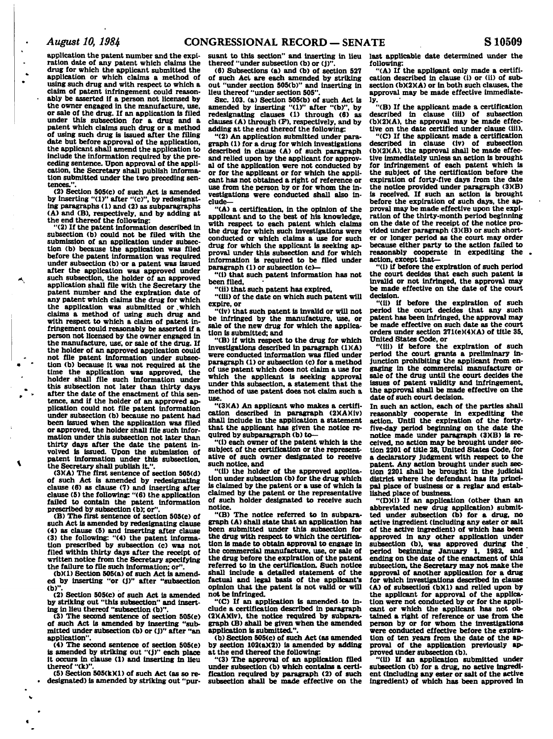**application the patent number and the expiration date of any patent which claims the drug for which the applicant submitted the application or which claims a method of using such drug and with respect to which a claim of patent infringement could reasonably be asserted if a person not licensed by the owner engaged in the manufacture, use, or sale of the drug. If an application is filed under this subsection for a drug and a** 

**patent which claims such drug or a method of using such drug is issued after the filing date but before approval of the application, the applicant shall amend the application to include the information required by the preceding sentence. Upon approval of the application, the Secretary shall publish information submitted under the two preceding sentences.".** 

**(2) Section 505(c) of such Act is amended by Inserting "(1)" after "(c)", by redesignating paragraphs (1) and (2) as subparagraphs (A) and (B), respectively, and by adding at the end thereof the following:** 

**"(2) If the patent information described in subsection (b) could not be filed with the submission of an application under subsection (b) because the application was filed before the patent information was required**  under subsection (b) or a patent was issued **after the application was approved under such subsection, the holder of an approved application shall file with the Secretary the patent number and the expiration date of any patent which claims the drug for which the application was submitted or .which claims a method of using such drug and with respect to which a claim of patent infringement could reasonably be asserted if a person not licensed by the owner engaged in the manufacture, use; or sale of the drug. If the holder of an approved application could not file patent information under subsection (b) because it was not required at the time the application was approved, the holder shall file such information under this subsection not later than thirty days after the date of the enactment of this sentence, and if the holder of an approved application could not file patent information under subsection (b) because no patent had been issued when the application was filed or approved, the holder shall file such information under this subsection not later than thirty days after the date the patent in-volved is issued. Upon the submission of patent information under this subsection, the Secretary shall publish it.".** 

**OKA) The first sentence of section 505(d) of such Act is amended by redesignating clause (6) as clause (7) and inserting after clause (5) the following: "(6) the application failed to contain the patent information prescribed by subsection (b); or".** 

**(B) The. first sentence of section 505(e) of such Act is amended by redesignating clause (4) as clause (5) and inserting after clause (3) the following: "(4) the patent information prescribed by subsection (c) was not filed within thirty days after the receipt of written notice from the Secretary specifying the failure to file such information; or".** 

**(b)(1) Section 505(a) of such Act is amended by inserting "or (J)" after "subsection (b)".** 

**(2) Section 505(c) of such Act is amended by striking out "this subsection" and inserting in lieu thereof "subsection (b)".** 

**(3) The second sentence of section 505(e) of such Act is amended by inserting "submitted under subsection (b) or (j)" after "an application".** 

**(4) The second sentence of section 505(e) is amended by striking out "(j)" each place it occurs in clause (1) and inserting in lieu thereof "<k)'\** 

**(5) Section 505(kXl) of such Act (as so redesignated) is amended by striking out "pur-** **suant to this section" and inserting in lieu thereof "under subsection (b) or (j)".** 

**(6) Subsections (a) and (b) of section 527 of such Act are each amended by striking out "under section 505(b)" and inserting in lieu thereof "under section 505".** 

SEC. 103. (a) Section 505(b) of such Act is<br>amended by inserting "(1)" after "(b)", by<br>redesignating clauses (1) through (6) as **clauses (A) through (F), respectively, and by adding at the end thereof the following:** 

**"(2) An application submitted under paragraph (1) for a drug for which investigations described in clause (A) of such paragraph and relied upon by the applicant for approval of the application were not conducted by or for the applicant or for which the applicant has not obtained a right of reference or use from the person by or for whom the investigations were conducted shall also include—** 

**"(A) a certification, in the opinion of the applicant and to the best of his knowledge, with respect to each patent which claims the drug for which such investigations were conducted or which claims a use for such drug for which the applicant is seeking approval under this subsection and for which information is required to be filed under paragraph (1) or subsection (c>—** 

**"(i) that such patent information has not been filed,** 

**"(ii) that such patent has expired,** 

**"(iii) of the date on which such patent will expire, or** 

**"(iv) that such patent is invalid or will not be infringed by the manufacture, use, or sale of the new drug for which the application is submitted; and** 

**"(B) if with respect to the drug for which investigations described in paragraph (1)(A) were conducted information was filed under paragraph (1) or subsection (c) for a method of use patent which does not claim a use for which the applicant is seeking approval under this subsection, a statement that the method of use patent does not claim such a use.** 

**"(3)(A) An applicant who makes a certification described in paragraph (2)(A)(iv) shall include in the application a statement that the applicant has given the notice required by subparagraph (b) to—** 

**"(i) each owner of the patent which is the subject of the certification or the representative of such owner designated to receive such notice, and** 

**"(ii) the holder of the approved application under subsection (b) for the drug which is claimed by the patent or a use of which is claimed by the patent or the representative of such holder designated to receive such notice.** 

**"(B) The notice referred to in subparagraph (A) shall state that an application has been submitted under this subsection for the drug with respect to which the certification is made to obtain approval to engage in the commercial manufacture, use, or sale of the drug before the expiration of the patent referred to in the certification. Such notice shall include a detailed statement of the factual and legal basis of the applicant's opinion that the patent is not valid or will not be infringed.** 

**"(C) If an application is amended to include a certification described in paragraph (2)(AMiv), the notice required by subparagraph (B) shall be given when the amended application is submitted.".** 

**(b) Section 505(c) of such Act (as amended by section 102(a)(2)) is amended by adding at the end thereof the following:** 

**"(3) The approval of an application filed under subsection (b) which contains a certification required by paragraph (2) of such subsection shall be made effective on the** 

**last applicable date determined under the following:** 

"(A) If the appligant only made a certifi**cation described in clause (i) or (ii) of subsection (b)(2)(A) or in both such clauses, the approval may be made effective immediate-**

**ly. "(B) If the applicant made a certification described in clause (iii) of subsection (b)(2)(A), the approval may be made effective on the date certified under clause (iii).** 

**"(C) If the applicant made a certification described in clause (iv) of subsection (b)(2)(A), the approval shall be made effective immediately unless an action is brought for infringement of each patent which is the subject of the certification before the expiration of forty-five days from the date**  the notice provided under paragraph (3)(B) **is received. If such an action is brought before the expiration of such days, the approval may be made effective upon the expiration of the thirty-month period beginning on the date of the receipt of the notice provided under paragraph (3)(B) or such shorter or longer period as the court may order because either party to the action failed to**  reasonably cooperate in expediting the **action, except that-**

**'ll) if before the expiration of such period the court decides that each such patent is invalid or not infringed, the approval may be made effective on the date of the court decision.** 

**"(ii) if before the expiration of such period the court decides that any such patent has been infringed, the approval may be made effective on such date as the court orders under section 271(e)(4)(A) of title 35, United States Code, or** 

**"(iii) if before the expiration of such period the court grants a preliminary injunction prohibiting the applicant from engaging in the commercial manufacture or sale of the drug until the court decides the issues of patent validity and infringement, the approval shall be made effective on the date of such court decision.** 

**In such an action, each of the parties shall reasonably cooperate in expediting the action. Until the expiration of the fortyfive-day period beginning on the date the notice made under paragraph (3KB) is received, no action may be brought under section 2201 of title 28, United States Code, for a declaratory judgment with respect to the patent. Any action brought under such section 2201 shall be brought in the judicial district where the defendant has its principal place of business or a reglar and established place of business.** 

**"(DXi) If an application (other than an abbreviated new drug application) submitted under subsection (b) for a drug, no active ingredient (including any ester or salt of the active ingredient) of which has been approved in any other application under subsection (b), was approved during the period beginning January 1, 1982, and' ending on the date of the enactment of this subsection, the Secretary may not make the approval of another application for a drug for which Investigations described in clause (A) of subsection (bKl) and relied upon by the applicant for approval of the application were not conducted by or for the applicant or which the applicant has not obtained a right of reference or use from the person by or for whom the investigations were conducted effective before the expiration of ten years from the date of the approval of the application previously approved under subsection (b).** 

**"(ii) If an application submitted under subsection (b) for a drug, no active ingredient (including any ester or salt of the active ingredient) of which has been approved in**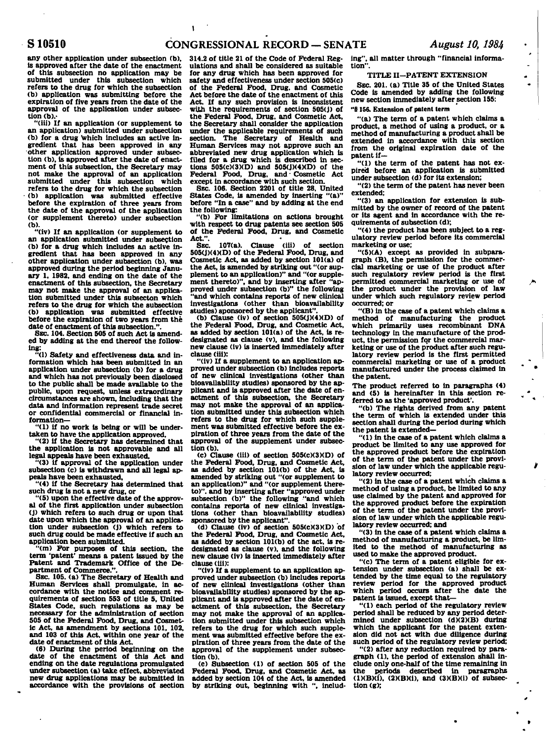# $\sim$  S 10510

**CONGRESSIONAL RECORD — SENATE** 

**1** 

LTE *August 10, 1984* 

**any other application under subsection (b). is approved after the date of the enactment of this subsection no application may be submitted under this subsection which refers to the drug for which the subsection (b) application was submitting before the expiration of five years from the date of the approval of the application under subsection (b).-**

**"(iii) If an application (or supplement to an application) submitted under subsection (b) for a drug which includes an active ingredient that has been approved in any other application approved under subsection (b), is approved after the date of enactment of this subsection, the Secretary may not make the approval of an application submitted under this subsection which refers to the drug for which the subsection (b) application was submitted effective before the expiration of three years from the date of the approval of the application (or supplement thereto) under subsection (b).** 

**"(iv) If an application (or supplement to an application submitted under subsection (b) for a drug which includes an active ingredient that has been approved in any other application under subsection (b), was approved during the period beginning January 1, 1982, and ending on the date of the enactment of this subsection, the Secretary may not make the approval of an application submitted under this subsecton which refers to the drug for which the subsection (b) application was submitted effective before the expiration of two years from the date of enactment of this subsection.".** 

**SEC. 104. Section 505 of such Act is amended by adding at the end thereof the following:** 

**"(1) Safety and effectiveness data and information which has been submitted in an application under subsection (b) for a drug and which has not previously been disclosed to the public shall be made available to the public, upon request, unless extraordinary circumstances are shown, including that the data and information represent trade secret or confidential commercial or financial information—** 

**"(1) if no work is being or will be undertaken to have the application approved,** 

**"(2) if the Secretary has determined that the application is not approvable and all legal appeals have been exhausted,** 

**"(3) if approval of the application under subsection (c) is withdrawn and all legal appeals have been exhausted, "(4) if the Secretary has determined that** 

**such drug is not a new drug, or** 

**"(5) upon the effective date of the approval of the first application under subsection (]) which refers to such drug or upon that date upon which the approval of an application under subsection (j) which refers to such drug could be made effective if such an application been submitted.** 

**"(m) For purposes of this section, the term 'patent' means a patent issued by the Patent and Trademark Office of the Department of Commerce.".** 

**SEC. 105. (a) The Secretary of Health and Human Services shall promulgate, in accordance with the notice and comment requirements of section 553 of title 5, United States Code, such regulations as may be necessary for the administration of section 505 of the Federal Food, Drug, and Cosmetic Act, as amendment by sections 101, 102, and 103 of this Act, within one year of the date of enactment of this Act. (6) During the period beginning on the** 

**date of the enactment of this Act and ending on the date regulations promulgated under subsection (a) take effect, abbreviated new drug applications may be submitted in accordance with the provisions of section** 

**314.2 of title 21 of the Code of Federal Regulations and shall be considered as suitable for any drug which has been approved for safety and effectiveness under section 505(c) of the Federal Food, Drug, and Cosmetic Act before the date of the enactment of this Act. If any such provision is inconsistent**  with the requirements of section 505(1) of **the Federal Food, Drug, and Cosmetic Act, the Secretary shall consider the application under the applicable requirements of such section. The Secretary of Health and Human Services may not approve such an abbreviated new drug application which is filed for a drug which is described in sections 505(c)(3)(D) and 505(j)(4)(D) of the Federal Food, Drug, and - Cosmetic Act except in accordance with such section.** 

**SEC. 106. Section 2201 of title 28, United States Code, is amended by inserting "(a)" before "In a case" and by adding at the end the following:** 

**"(b) For limitations on actions brought with respect to drug patents see section 505 of the Federal Food, Drug, and Cosmetic Act".** 

**SEC. 107(a). Clause (iii) of section 505(j)(4)(D) of the Federal Food. Drug, and Cosmetic Act, as added by section 101(a) of the Act, is amended by striking out "(or supplement to an application)" and "(or supplement thereto)", and by inserting after "ap-proved under subsection (b)" the following "and which contains reports of new clinical investigations (other than bioavailability studies) sponsored by the applicant".** 

**(b) Clause (iv) of section 505(j)(4)(D) of the Federal Food, Drug, and Cosmetic Act, as added by section 101(a) of the Act, is redesignated as clause (v), and the following new clause (iv) is inserted immediately after clause (iii):** 

**"(iv) If a supplement to an application approved under subsection (b) includes reports of new clinical investigations (other than bioavailability studies) sponsored by the applicant and is approved after the date of enactment of this subsection, the Secretary may not make the approval of an application submitted under this subsection which refers to the drug for which such supplement was submitted effective before the expiration of three years from the date of the approval of the supplement under subsection (b).** 

**(c) Clause (iii) of section 505(cK3)(D) of the Federal Food, Drug, and Cosmetic Act, as added by section 101(b) of the Act, is amended by striking out "(or supplement to an application)" and "(or supplement thereto)", and by inserting after "approved under subsection (b)" the following "and which contains reports of new clinical investigations (other than bioavailability studies) sponsored by the applicant".** 

**(d) Clause (iv) of section 505(c)(3)(D) of the Federal Food, Drug, and Cosmetic Act, as added by section 101(b) of the act, is redesignated as clause (v), and the following new clause (iv) is inserted immediately after clause (iii):** 

**"(iv) If a supplement to an application approved under subsection (b) includes reports of new clinical investigations (other than bioavailability studies) sponsored by the applicant and is approved after the date of enactment of this subsection, the Secretary may not make the approval of an application submitted under this subsection which refers to the drug for which such supplement was submitted effective before the expiration of three years from the date of the approval of the supplement under subsection (b).** 

**(e) Subsection (1) of section 505 of the Federal Food, Drug, and Cosmetic Act, as added by section 104 of the Act, is amended by striking out, beginning with ", includ-**

**ing", all matter through "financial information".** 

**TITLE II—PATENT EXTENSION** 

**SEC. 201. (a) Title 35 of the United States Code is amended by adding the following new section immediately after section 155: "§ 156. Extension of patent term** 

**"(a) The term of a patent which claims a product, a method of using a product, or a method of manufacturing a product shall be extended in accordance with this section from the original expiration date of the patent if—** 

**"(1) the term of the patent has not expired before an application is submitted under subsection (d) for its extension:** 

**"(2) the term of the patent has never been extended;** 

**"(3) an application for extension is submitted by the owner of record of the patent or its agent and in accordance with the requirements of subsection (d);** 

**"(4) the product has been subject to a regulatory review period before its commercial marketing or use;** 

**"(5)(A) except as provided in subparagraph (B), the permission for the commercial marketing or use of the product after such regulatory review period is the first permitted commercial marketing or use of the product under the provision of law under which such regulatory review period occurred; or** 

**"(B) in the case of a patent which claims a method of manufacturing the product which primarily uses recombinant DNA technology in the manufacture of the product, the permission for the commercial marketing or use of the product after such regulatory review period is the first permitted commercial marketing or use of a product manufactured under the process claimed in the patent.** 

**The product referred to in paragraphs (4) and (5) is hereinafter in this section referred to as the 'approved product'.** 

**"(b) The rights derived from any patent the term of which is extended under this section shall during the period during which the patent is extended—** 

**"(1) in the case of a patent which claims a product be limited to any use approved for the approved product before the expiration of the term of the patent under the provision of law under which the applicable regulatory review occurred;** 

**"(2) in the case of a patent which claims a method of using a product, be limited to any use claimed by the patent and approved for the approved product before the expiration of the term of the patent under the provision of law under which the applicable regulatory review occurred; and** 

**"(3) in the case of a patent which claims a method of manufacturing a product, be limited to the method of manufacturing as used to make the approved product.** 

**"(c) The term of a patent eligible for extension under subsection (a) shall be extended by the time equal to the regulatory review period for the approved product which period occurs after the date the patent is issued, except that—** 

**"(1) each period of the regulatory review period shall be reduced by any period deter-mined under subsection (d)(2)(B) during which the applicant for the patent extension did not act with due diligence during such period of the regulatory review period;** 

**"(2) after any reduction required by paragraph (1). the period of extension shall include only one-half of the time remaining in**  periods described in **UXBXi). (2)(B)(i), and (3)(B)(i) of subsection (g);**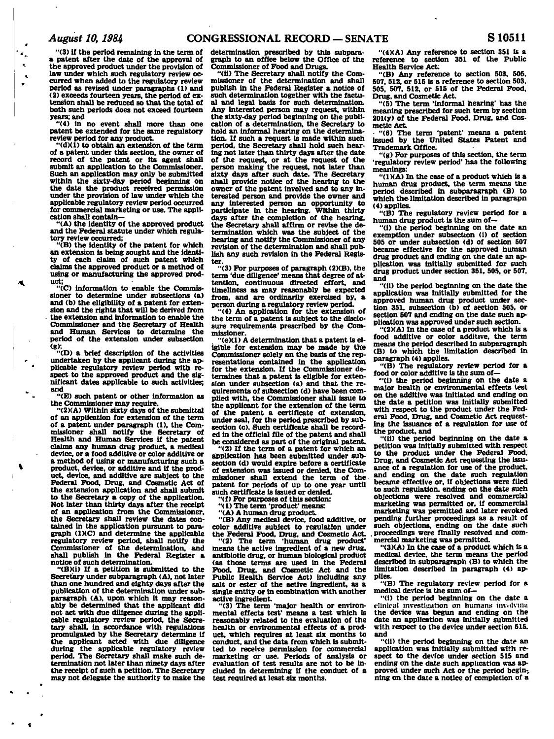$\Gamma_{\rm{in}}$  $\bullet$ 

**"(3) if the period remaining in the term of a patent after the date of the approval of the approved product under the provision of law under which such regulatory review occurred when added to the regulatory review period as revised under paragraphs (1) and (2) exceeds fourteen years, the period of extension shall be reduced so that the total of both such periods does not exceed fourteen years; and** 

**"(4) in no event shall more than one patent be extended for the same regulatory review period for any product.** 

**"(dXl) to obtain an extension of the term of a patent under this section, the owner of record of the patent or its agent shall submit an application to the Commissioner. Such an application may only be submitted within the sixty-day period beginning on the date the product received permission under the provision of law under which the applicable regulatory review period occurred for commercial marketing or use. The application shall contain—** 

**"(A) the identity of the approved product and the Federal statute under which regula-**

**tory review occurred; "(B) the identity of the patent for which an extension is being sought and the identi-ty of each claim of such patent which claims the approved product or a method of using or manufacturing the approved product;** 

**"(C) information to enable the Commissioner to determine under subsections (a) and (b) the eligibility of a patent for extension and the rights that will be derived from . the extension and information to enable the Commissioner and the Secretary of Health and Human Services to determine the period of the extension under subsection (g):** 

**"(D) a brief description of the activities undertaken by the applicant during the applicable regulatory review period with respect to the approved product and the significant dates applicable to such activities; and** 

**"(E) such patent or other information as the Commissioner may require.** 

**"(2KA) Within sixty days of the submittal of an application for extension of the term of a patent under paragraph (1), the Commissioner shall notify the Secretary of Health and Human Services if the patent claims any human drug product, a medical device, or a food additive or color additive or a method of using or manufacturing such a product, device, or additive and if the product, device, and additive are subject to the Federal Food, Drug, and Cosmetic Act of the extension application and shall submit to the Secretary a copy of the application. Not later than thirty days after the receipt of an application from the Commissioner, the Secretary shall review the dates contained in the application pursuant to paragraph (IXC) and determine the applicable regulatory review period, shall notify the Commissioner of the determination, and shall publish in the Federal Register a notice of such determination.** 

"(B)(i) If a petition is submitted to the **Secretary under subparagraph (A), not later than one hundred and eighty days after the publication of the determination under subparagraph (A), upon which it may reasonably be determined that the applicant did not act with due diligence during the applicable regulatory review period, the Secretary shall, in accordance with regulations promulgated by the Secretary determine if the applicant acted with due diligence during the applicable regulatory review period. The Secretary shall make such determination not later than ninety days after the receipt of such a petition. The Secretary may not delegate the authority to make the** 

**determination prescribed by this subparagraph to an office below the Office of the Commissioner of Food and Drugs.** 

**"(it) The Secretary shall notify the Commissioner of the determination and shall publish in the Federal Register a notice of such determination together with the factual and legal basis for such determination. Any interested person may request, within the sixty-day period beginning on the publication of a determination, the Secretary to hold an informal hearing on the determination. If such a request is made within such period, the Secretary shall hold such hearing not later than thirty days after the date of the request, or at the request of the person making the request, not later than sixty days after such date. The Secretary shall provide notice of the hearing to the owner of the patent involved and to any interested person and provide the owner and any Interested person an opportunity to participate in the hearing. Within thirty days after the completion of the hearing, the Secretary shall affirm or revise the determination which was the subject of the hearing and notify the Commissioner of any revision of the determination and shall publish any such revision in the Federal Register.** 

**"(3) For purposes of paragraph (2KB), the term 'due diligence' means that degree of attention, continuous directed effort, and timeliness as may reasonably be expected from, and are ordinarily exercised by, a person during a regulatory review period.** 

**"(4) An application for the extension of the term of a patent is subject to the disclosure requirements prescribed by the Commissioner.** 

**"(eXl) A determination that a patent is eligible for extension may be made by the Commissioner solely on the basis of the representations contained in the application for the extension. If the Commissioner determines that a patent is eligible for extension under subsection (a) and that the requirements of subsection (d) have been complied with, the Commissioner shall issue to the applicant for the extension of the term of the patent a certificate of extension, under seal, for the period prescribed by subsection (c). Such certificate shall be recorded in the official file of the patent and shall be considered as part of the original patent.** 

**"(2) If the term of a patent for which an application has been submitted under subsection (d) would expire before a certificate of extension was issued or denied, the Commissioner shall extend the term of the patent for periods of up to one year until such certificate is issued or denied.** 

**"(f) For purposes of this section:** 

**"(1) The term 'product' means "(A) A human drug product.** 

**"(B) Any medical device, food additive, or color additive subject to regulation under** 

**the Federal Food, Drug, and Cosmetic Act. "(2) The term 'human drug product' means the active ingredient of a new drug, antibiotic drug, or human biological product (as those terms are used in the Federal Food, Drug, and Cosmetic Act and the Public Health Service Act) including any salt or ester of the active ingredient, as a single entity or in combination with another active ingredient** 

**"(3) The term 'major health or environmental effects test' means a test which is reasonably related to the evaluation of the health or environmental effects of a product, which requires at least six months to conduct, and the data from which is submitted to receive permission for commercial marketing or use. Periods of analysis or evaluation of test results are not to be included in determining if the conduct of a test required at least six months.** 

**"(4XA) Any reference to section 351 is a reference to section 351 of the Public Health Service Act:** 

**"(B) Any reference to section 503, 505, 507, 512, or 515 is a reference to section 503, 505, 507. 512, or 515 of the Federal Food, Drug, and Cosmetic Act.** 

**"(5) The term 'informal hearing' has the meaning prescribed for such term by section 201(y) of the Federal Food, Drug, and Cosmetic Act.** 

**- "(6) The term 'patent' means a patent issued by the United States Patent and Trademark Office.** 

**"(g) For purposes of this section, the term 'regulatory review period' has the following meanings:** 

**"(1XA) In the case of a product which is a human drug product, the term means the period described in subparagraph (B) to which the-limitation described in paragrapn (4) applies.** 

**"(B) The regulatory review period for a human drug product is the sum of—** 

**"(i) the period beginning on the date an exemption under subsection (1) of section 505 or under subsection (d) of section 507 became effective for the approved human drug product and ending on the date an application was initially submitted for such drug product under section 351, 505, or 507, and** 

**"(ii) the period beginning on the date the application was initially submitted for the approved human drug product under section 351, subsection (b) of section 505, or section 507 and ending on the date such application was approved under such section.** 

**"(2XA) In the case of a product which is a food additive or color additive, the term means the period described in subparagraph (B) to which the limitation described in paragraph (4) applies.** 

**"(B) The regulatory review period for a food or color additive is the sum of—** 

**"(i) the period beginning on the date a major health or environmental effects test on the additive was initiated and ending on the date a petition was initially submitted with respect to the product under the Federal Food, Drug, and Cosmetic Act requesting the issuance of a regulation for use of the product, and** 

**"(ii) the period beginning on the date a petition was initially submitted with respect to the product under the Federal Food, Drug, and Cosmetic Act requesting the issuance of a regulation for use of the product, and ending on the date such regulation became effective or, if objections were filed to such regulation, ending on the date such objections were resolved and commercial marketing was permitted or, if commercial marketing was permitted and later revoked pending further proceedings as a result of such objections, ending on the date such . proceedings were finally resolved and commercial marketing was permitted.** 

**"(3XA) In the case of a product which is a medical device, the term means the period described in subparagraph (B) to which the limitation described in paragraph (4) applies.** 

**"(B) The regulatory review period for a medical device is the sum of—** 

**"(i) the period beginning on the date a i-Iiniral investination on humans invulvmu the device was begun and ending on the date an application was initially submitted with respect to the device under section 515. and** 

**"(ii) the period beginning on the date an application was initially submitted with respect to the device under section 515 and ending on the date such application was approved under such Act or the period beginning on the date a notice of completion of a**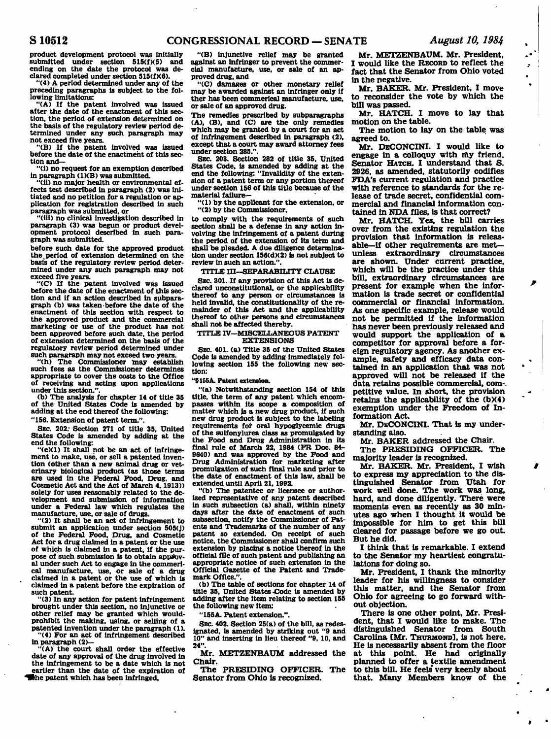$\mathbf{r}$ ×

**product development protocol was initially**  submitted under section 515(fX5) and **ending on the date the protocol was declared completed under section 515(f)(6).** 

**"(4) A period determined under any of the preceding paragraphs is subject to the following limitations:** 

**"(A) If the patent involved was issued after the date of the enactment of this section, the period of extension determined on the basis of the regulatory review period determined under any such paragraph may not exceed five years.** 

**"(B) If the patent involved was issued before the date of the enactment of this section and—** 

**"(i) no request for an exemption described in paragraph (1KB) was submitted.** 

**"(ii) no major health or environmental effects test described in paragraph (2) was initiated and no petition for a regulation or application for registration described in such paragraph was submitted, or** 

**"(iii) no clinical investigation described in paragraph (3) was begun or product development protocol described in such paragraph was submitted.** 

**before such date for the approved product the period of extension determined on the basis of the regulatory review period determined under any such paragraph may not exceed five years.** 

**"(C) If the patent involved was issued before the date of the enactment of this section and if an action described in subparagraph (b) was taken before the date of the enactment of this section with respect to the approved product and the commercial marketing or use of the product has not been approved before such date, the period of extension determined on the basis of the regulatory review period determined under such paragraph may not exceed two years.** 

**"(h) The Commissioner may establish such fees as the Commissioner determines appropriate to cover the costs to the Office of receiving and acting upon applications under this section.".** 

**(b) The analysis for chapter 14 of title 35 of the United States Code is amended by adding at the end thereof the following: "156. Extension of patent term.".** 

**SEC. 202: Section 271 of title 35, United States Code is amended by adding at the end the following:** 

**"(e)(1) It shall not be an act of infringement to make, use, or sell a patented invention (other than a new animal drug or veterinary biological product (as those terms are used in the Federal Food, Drug, and Cosmetic Act and the Act of March 4,1913)) solely for uses reasonably related to the development and submission of information under a Federal law which regulates the manufacture, use, or sale of drugs.** 

**"(2) It shall be an act of infringement to submit an application under section 505(j) of the Federal Food, Drug, and Cosmetic Act for a drug claimed in a patent or the use of which is claimed in a patent, if the purpose of such submission is to obtain approval under such Act to engage in the commerical manufacture, use, or sale of a drug claimed in a patent or the use of which is claimed in a patent before the expiration of such patent.** 

**"(3) In any action for patent infringement brought under this section, no injunctive or other relief may be granted which wouldprohibit the making, using, or selling of a patented invention under the paragraph (1). "(4) For an act of infringement described** 

**in paragraph (2)— "(A) the court shall order the effective** 

**date of any approval of the drug involved in the infringement to be a date which is not earlier than the date of the expiration of Whe patent which has been infringed.** 

**"(B) injunctive relief may be granted against an infringer to prevent the commercial manufacture, use, or sale of an approved drug, and** 

**"(C) damages or other monetary relief may be awarded against an infringer only if ther has been commerical manufacture, use, or sale of an approved drug.** 

**The remedies prescribed by subparagraphs (A), (B). and (C) are the only remedies which may be granted by a court for an act of infringement described in paragraph (2), except that a court may award attorney fees under section 285.".** 

**SEC. 203. Section 282 of title 35, United States Code, is amended by adding at the end the following: "Invalidity of the extension of a patent term or any portion thereof under section 156 of this title because of the material failure—** 

**"(1) by the applicant for the extension, or "(2) by the Commissioner,** 

**to comply with the requirements of such section shall be a defense in any action involving the infringement of a patent during the period of the extension of its term and shall be pleaded. A due diligence determination under section 156(d)(2) is not subject to review in such an action.".** 

**TITLE HI-SEPARABILITY CLAUSE** 

**SEC. 301. If any provision of this Act is declared unconstitutional, or the applicability thereof to any person or circumstances is held invalid, the constitutionality of the remainder of this Act and the applicability thereof to other persons and circumstances shall not be affected thereby.** 

#### **TITLE IV—MISCELLANEOUS PATENT EXTENSIONS**

**SEC. 401. (a) Title 35 of the United States Code is amended by adding immediately following section 155 the following new section:** 

#### **"815SA. Patent extension.**

**"(a) Notwithstanding section 154 of this title, the term of any patent which encompasses within its scope a composition of matter which is a new drug product, if such new drug product is subject to the labeling requirements for oral hypoglycemic drugs of the sulfonylurea class as promulgated by the Food and Drug Administration in its final rule of March 22, 1984 (FR Doc. 84- 9640) and was approved by the Food and Drug Administration for marketing after promulgation of such final rule and prior to the date of enactment of this law, shall be extended until April 21,1992.** 

**"(b) The patentee or licensee or authorized representative of any patent described in such subsection (a) shall, within ninety days after the date of enactment of such subsection, notify the Commissioner of Patents and Trademarks of the number of any patent so extended. On receipt of such notice, the Commissioner shall confirm such extension by placing a notice thereof in the official file of such patent and publishing an appropriate notice of such extension in the Official Gazette of the Patent and Trademark Office.".** 

**(b) The table of sections for chapter 14 of title 35, United States -Code is amended by adding after the item relating to section 155 the following new item:** 

### **"155A. Patent extension.".**

**SEC. 402. Section 25(a) of the bill, as redesignated, is amended by striking out "9 and 10" and inserting in lieu thereof "9, 10, and 24".** 

**Mr. METZENBAUM addressed the Chair.** 

**The PRESIDING OFFICER. The Senator from Ohio is recognized.** 

**Mr. METZENBAUM. Mr. President, I would like the RECORD to reflect the fact that the Senator from Ohio voted in the negative.** 

**Mr. BAKER. Mr. President, I move to reconsider the vote by which the bill was passed.** 

**Mr. HATCH. I move to lay that motion on the table.** 

**The motion to lay on the table was agreed to.** 

**Mr. DECONCINI. I would like to engage in a colloquy with my friend. Senator HATCH. I understand that S. 2926, as amended, statutorily codifies FDA's current regulation and practice with reference to standards for the release of trade secret, confidential commercial and financial information contained in NDA files, is that correct?** 

**Mr. HATCH. Yes. the bill carries over from the existing regulation the provision that information is releasable—if other requirements are met unless extraordinary circumstances are shown. Under current practice, which will be the practice under this bill, extraordinary circumstances are present for example when the information is trade secret or confidential commercial or financial information. As one specific example, release would not be permitted if the information has never been previously released and would support the application of a competitor for approval before a foreign regulatory agency. As another example, safety and efficacy data contained in an application that was not approved will not be released if the data retains possible commercial, com-, petitive value. In short, the provision retains the applicability of the (b)(4) exemption under the Freedom of Information Act.** 

**Mr. DECONCINI. That is my understanding also.** 

**Mr. BAKER addressed the Chair.** 

**The PRESIDING OFFICER. The majority leader is recognized.** 

**Mr. BAKER. Mr. President, I wish to express my appreciation to the distinguished Senator from Utah for work well done. The work was long, hard, and done diligently. There were moments even as recently as 30 minutes ago when I thought it would be impossible for him to get this bill cleared for passage before we go out. But he did.** 

**I think that is remarkable. I extend to the Senator my heartiest congratulations for doing so.** 

**Mr. President, I thank the minority leader for his willingness to consider this matter, and the Senator from Ohio for agreeing to go forward without objection.** 

**There is one other point, Mr. President, that I would like to make. The distinguished Senator from South Carolina [Mr. THURMOND], is not here. He is necessarily absent from the floor at this point. He had originally planned to offer a textile amendment to this bill. He feels' very keenly about that. Many Members know of the**